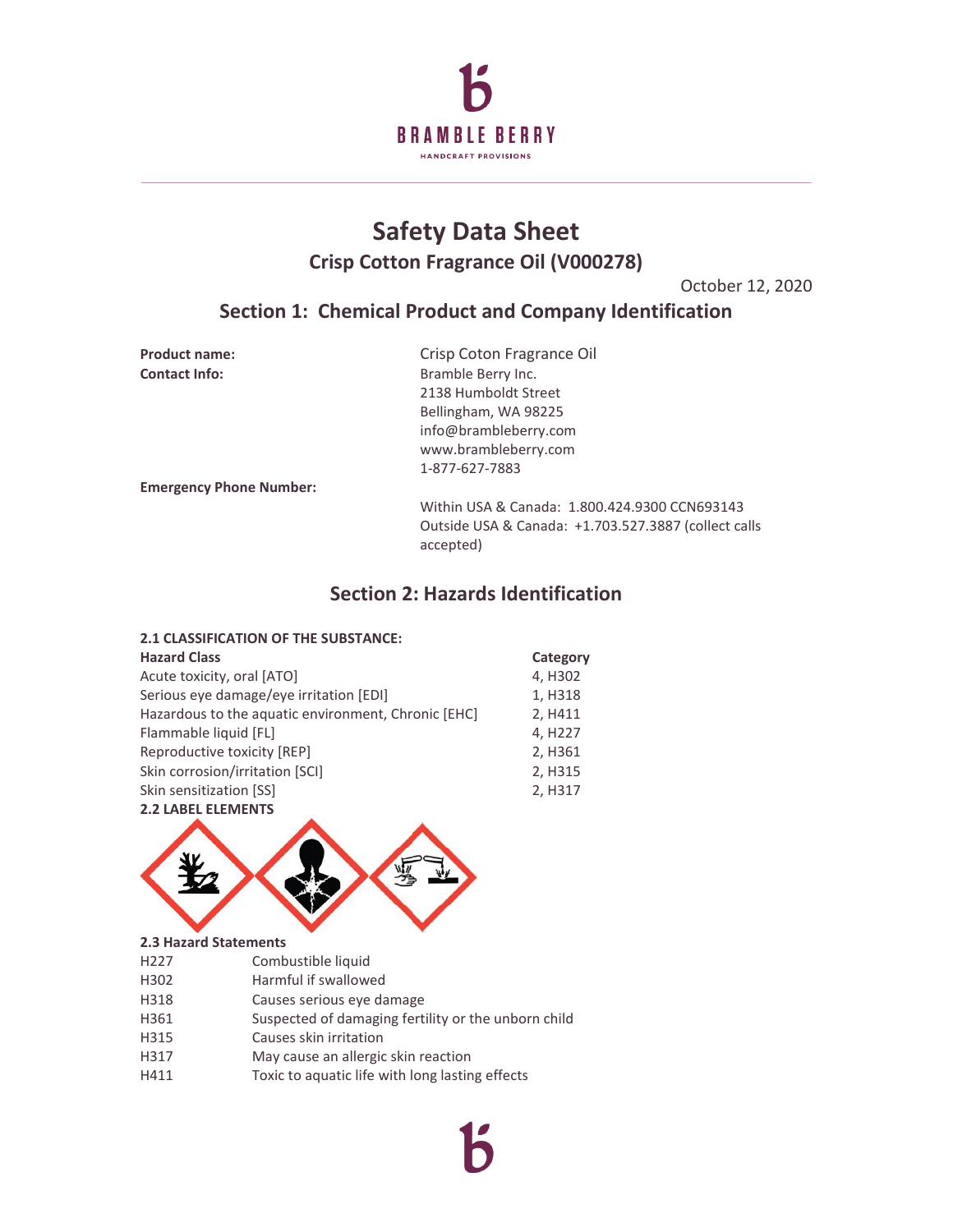

# **Safety Data Sheet Crisp Cotton Fragrance Oil (V000278)**

October 12, 2020

# **Section 1: Chemical Product and Company Identification**

| <b>Product name:</b>           | Crisp Coton Fragrance Oil                                         |
|--------------------------------|-------------------------------------------------------------------|
| <b>Contact Info:</b>           | Bramble Berry Inc.                                                |
|                                | 2138 Humboldt Street                                              |
|                                | Bellingham, WA 98225                                              |
|                                | info@brambleberry.com                                             |
|                                | www.brambleberry.com                                              |
|                                | 1-877-627-7883                                                    |
| <b>Emergency Phone Number:</b> |                                                                   |
|                                | Within USA & Canada: 1.800.424.9300 CCN693143                     |
|                                | Outside USA & Canada: +1.703.527.3887 (collect calls<br>accepted) |

# **Section 2: Hazards Identification**

### **2.1 CLASSIFICATION OF THE SUBSTANCE:**

| <b>Hazard Class</b>                                 | Category            |
|-----------------------------------------------------|---------------------|
| Acute toxicity, oral [ATO]                          | 4, H302             |
| Serious eye damage/eye irritation [EDI]             | 1, H318             |
| Hazardous to the aquatic environment, Chronic [EHC] | 2, H411             |
| Flammable liquid [FL]                               | 4, H <sub>227</sub> |
| Reproductive toxicity [REP]                         | 2, H361             |
| Skin corrosion/irritation [SCI]                     | 2, H315             |
| Skin sensitization [SS]                             | 2, H317             |
| <b>2.2 LABEL ELEMENTS</b>                           |                     |



### **2.3 Hazard Statements**

- H227 Combustible liquid
- H302 Harmful if swallowed
- H318 Causes serious eye damage
- H361 Suspected of damaging fertility or the unborn child
- H315 Causes skin irritation
- H317 May cause an allergic skin reaction
- H411 Toxic to aquatic life with long lasting effects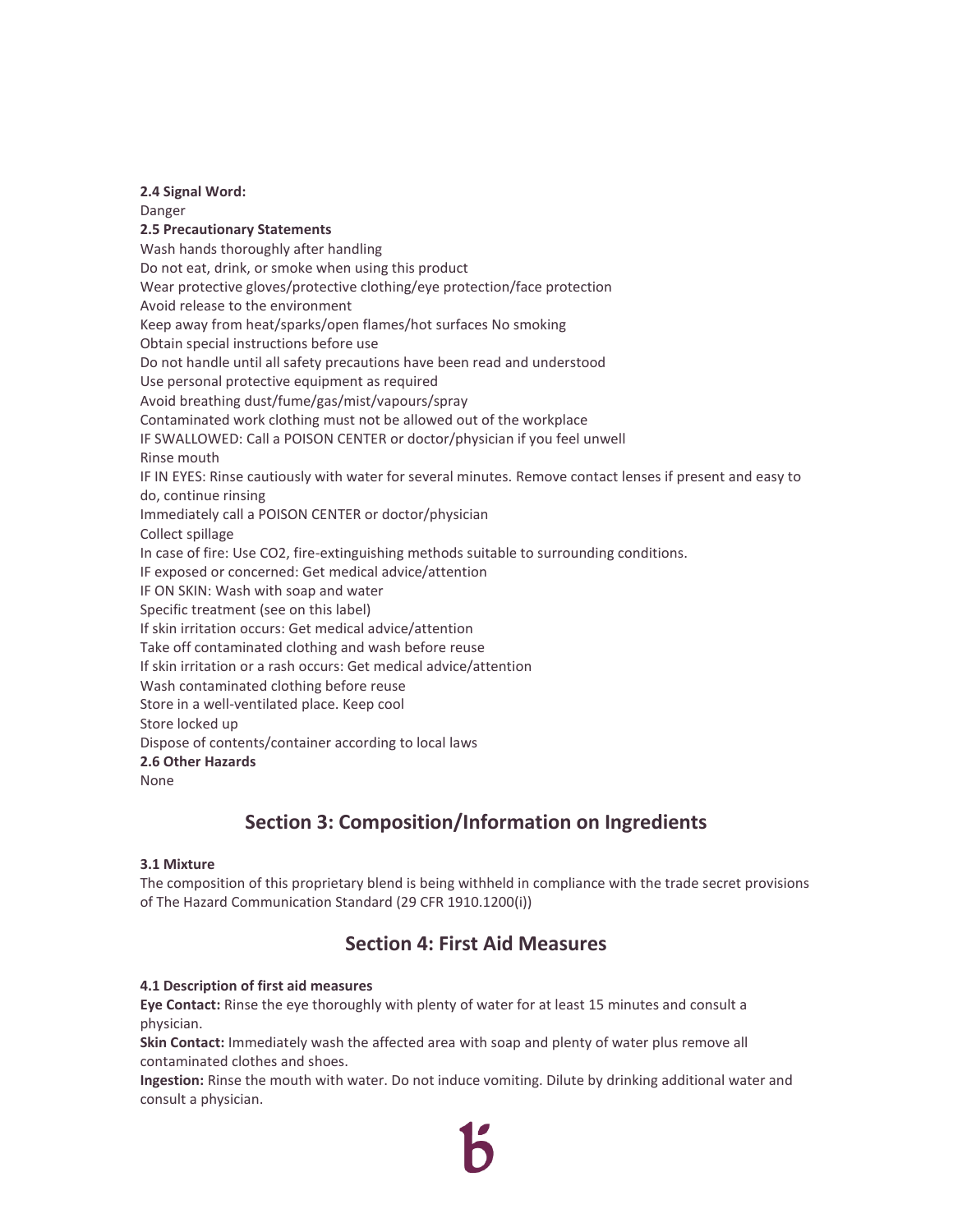#### **2.4 Signal Word:**

Danger **2.5 Precautionary Statements** Wash hands thoroughly after handling Do not eat, drink, or smoke when using this product Wear protective gloves/protective clothing/eye protection/face protection Avoid release to the environment Keep away from heat/sparks/open flames/hot surfaces No smoking Obtain special instructions before use Do not handle until all safety precautions have been read and understood Use personal protective equipment as required Avoid breathing dust/fume/gas/mist/vapours/spray Contaminated work clothing must not be allowed out of the workplace IF SWALLOWED: Call a POISON CENTER or doctor/physician if you feel unwell Rinse mouth IF IN EYES: Rinse cautiously with water for several minutes. Remove contact lenses if present and easy to do, continue rinsing Immediately call a POISON CENTER or doctor/physician Collect spillage In case of fire: Use CO2, fire-extinguishing methods suitable to surrounding conditions. IF exposed or concerned: Get medical advice/attention IF ON SKIN: Wash with soap and water Specific treatment (see on this label) If skin irritation occurs: Get medical advice/attention Take off contaminated clothing and wash before reuse If skin irritation or a rash occurs: Get medical advice/attention Wash contaminated clothing before reuse Store in a well-ventilated place. Keep cool Store locked up Dispose of contents/container according to local laws **2.6 Other Hazards** None

# **Section 3: Composition/Information on Ingredients**

### **3.1 Mixture**

The composition of this proprietary blend is being withheld in compliance with the trade secret provisions of The Hazard Communication Standard (29 CFR 1910.1200(i))

# **Section 4: First Aid Measures**

### **4.1 Description of first aid measures**

**Eye Contact:** Rinse the eye thoroughly with plenty of water for at least 15 minutes and consult a physician.

**Skin Contact:** Immediately wash the affected area with soap and plenty of water plus remove all contaminated clothes and shoes.

**Ingestion:** Rinse the mouth with water. Do not induce vomiting. Dilute by drinking additional water and consult a physician.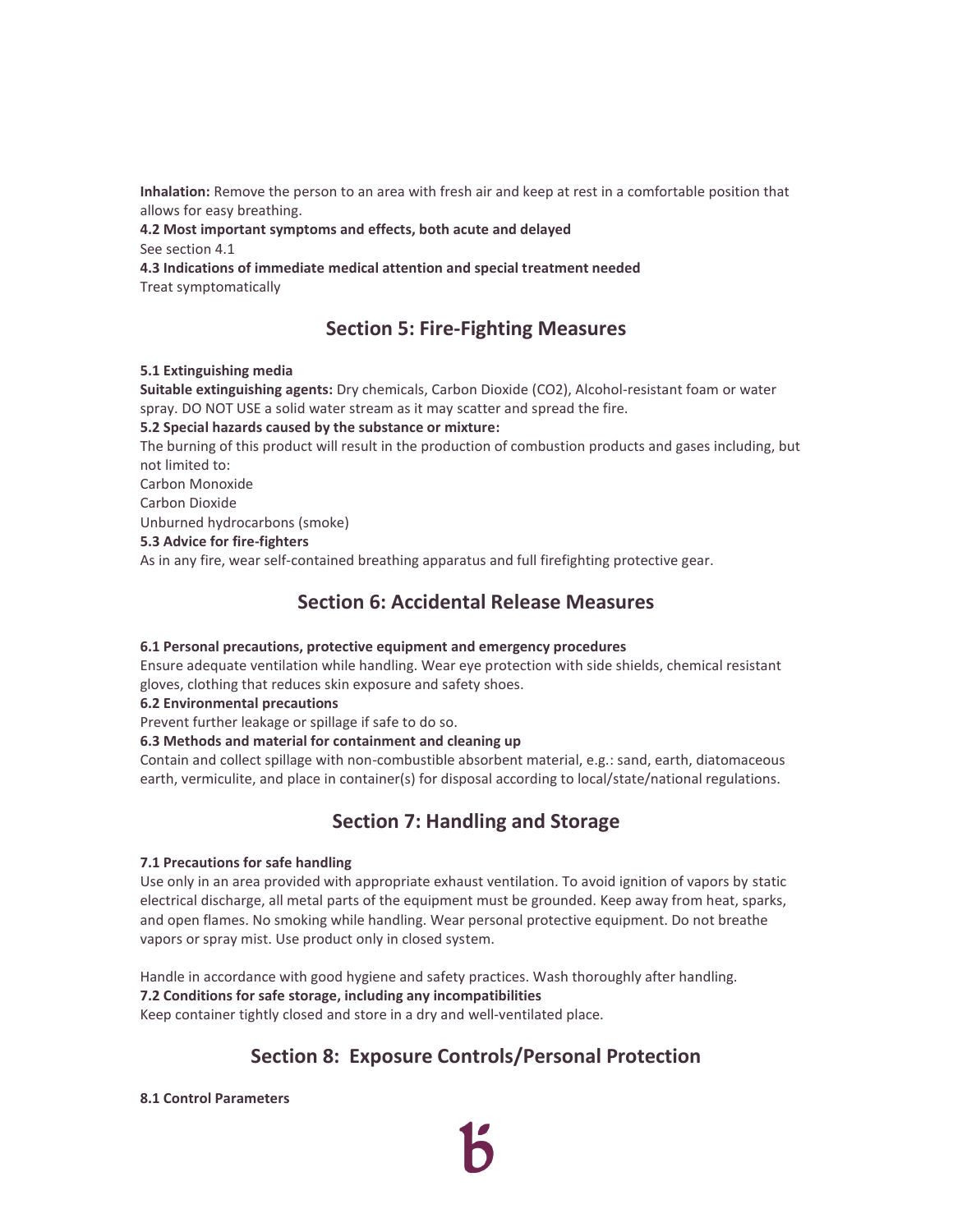**Inhalation:** Remove the person to an area with fresh air and keep at rest in a comfortable position that allows for easy breathing.

**4.2 Most important symptoms and effects, both acute and delayed**  See section 4.1

**4.3 Indications of immediate medical attention and special treatment needed**  Treat symptomatically

# **Section 5: Fire-Fighting Measures**

### **5.1 Extinguishing media**

**Suitable extinguishing agents:** Dry chemicals, Carbon Dioxide (CO2), Alcohol-resistant foam or water spray. DO NOT USE a solid water stream as it may scatter and spread the fire.

### **5.2 Special hazards caused by the substance or mixture:**

The burning of this product will result in the production of combustion products and gases including, but not limited to:

Carbon Monoxide

Carbon Dioxide

Unburned hydrocarbons (smoke)

#### **5.3 Advice for fire-fighters**

As in any fire, wear self-contained breathing apparatus and full firefighting protective gear.

### **Section 6: Accidental Release Measures**

### **6.1 Personal precautions, protective equipment and emergency procedures**

Ensure adequate ventilation while handling. Wear eye protection with side shields, chemical resistant gloves, clothing that reduces skin exposure and safety shoes.

**6.2 Environmental precautions** 

Prevent further leakage or spillage if safe to do so.

### **6.3 Methods and material for containment and cleaning up**

Contain and collect spillage with non-combustible absorbent material, e.g.: sand, earth, diatomaceous earth, vermiculite, and place in container(s) for disposal according to local/state/national regulations.

### **Section 7: Handling and Storage**

### **7.1 Precautions for safe handling**

Use only in an area provided with appropriate exhaust ventilation. To avoid ignition of vapors by static electrical discharge, all metal parts of the equipment must be grounded. Keep away from heat, sparks, and open flames. No smoking while handling. Wear personal protective equipment. Do not breathe vapors or spray mist. Use product only in closed system.

Handle in accordance with good hygiene and safety practices. Wash thoroughly after handling. **7.2 Conditions for safe storage, including any incompatibilities** Keep container tightly closed and store in a dry and well-ventilated place.

# **Section 8: Exposure Controls/Personal Protection**

**8.1 Control Parameters**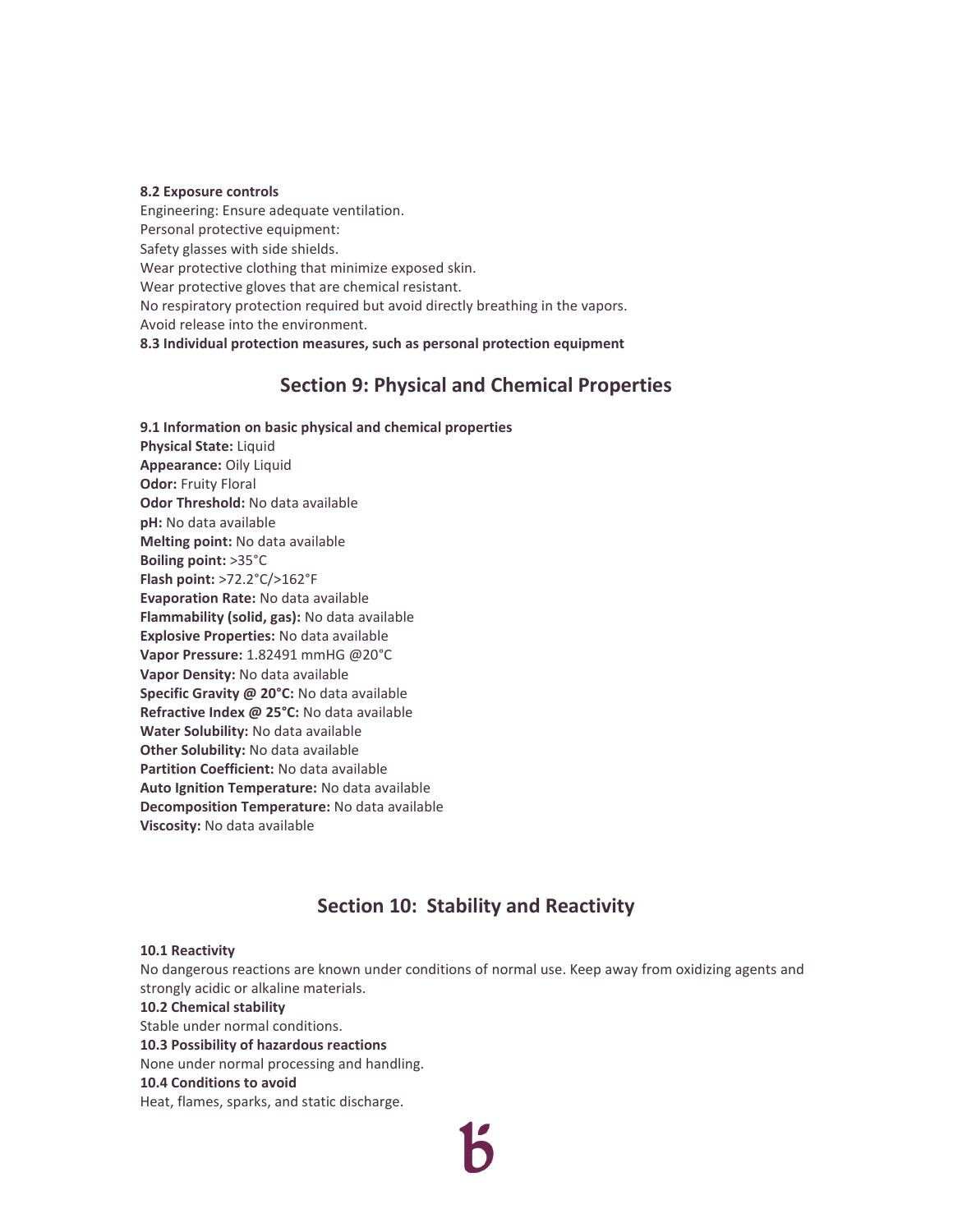#### **8.2 Exposure controls**

Engineering: Ensure adequate ventilation. Personal protective equipment: Safety glasses with side shields. Wear protective clothing that minimize exposed skin. Wear protective gloves that are chemical resistant. No respiratory protection required but avoid directly breathing in the vapors. Avoid release into the environment. **8.3 Individual protection measures, such as personal protection equipment**

### **Section 9: Physical and Chemical Properties**

**9.1 Information on basic physical and chemical properties Physical State:** Liquid **Appearance:** Oily Liquid **Odor:** Fruity Floral **Odor Threshold:** No data available **pH:** No data available **Melting point:** No data available **Boiling point:** >35°C **Flash point:** >72.2°C/>162°F **Evaporation Rate:** No data available **Flammability (solid, gas):** No data available **Explosive Properties:** No data available **Vapor Pressure:** 1.82491 mmHG @20°C **Vapor Density:** No data available **Specific Gravity @ 20°C:** No data available **Refractive Index @ 25°C:** No data available **Water Solubility:** No data available **Other Solubility:** No data available **Partition Coefficient:** No data available **Auto Ignition Temperature:** No data available **Decomposition Temperature:** No data available **Viscosity:** No data available

### **Section 10: Stability and Reactivity**

#### **10.1 Reactivity**

No dangerous reactions are known under conditions of normal use. Keep away from oxidizing agents and strongly acidic or alkaline materials.

#### **10.2 Chemical stability**

Stable under normal conditions. **10.3 Possibility of hazardous reactions** 

None under normal processing and handling.

#### **10.4 Conditions to avoid**

Heat, flames, sparks, and static discharge.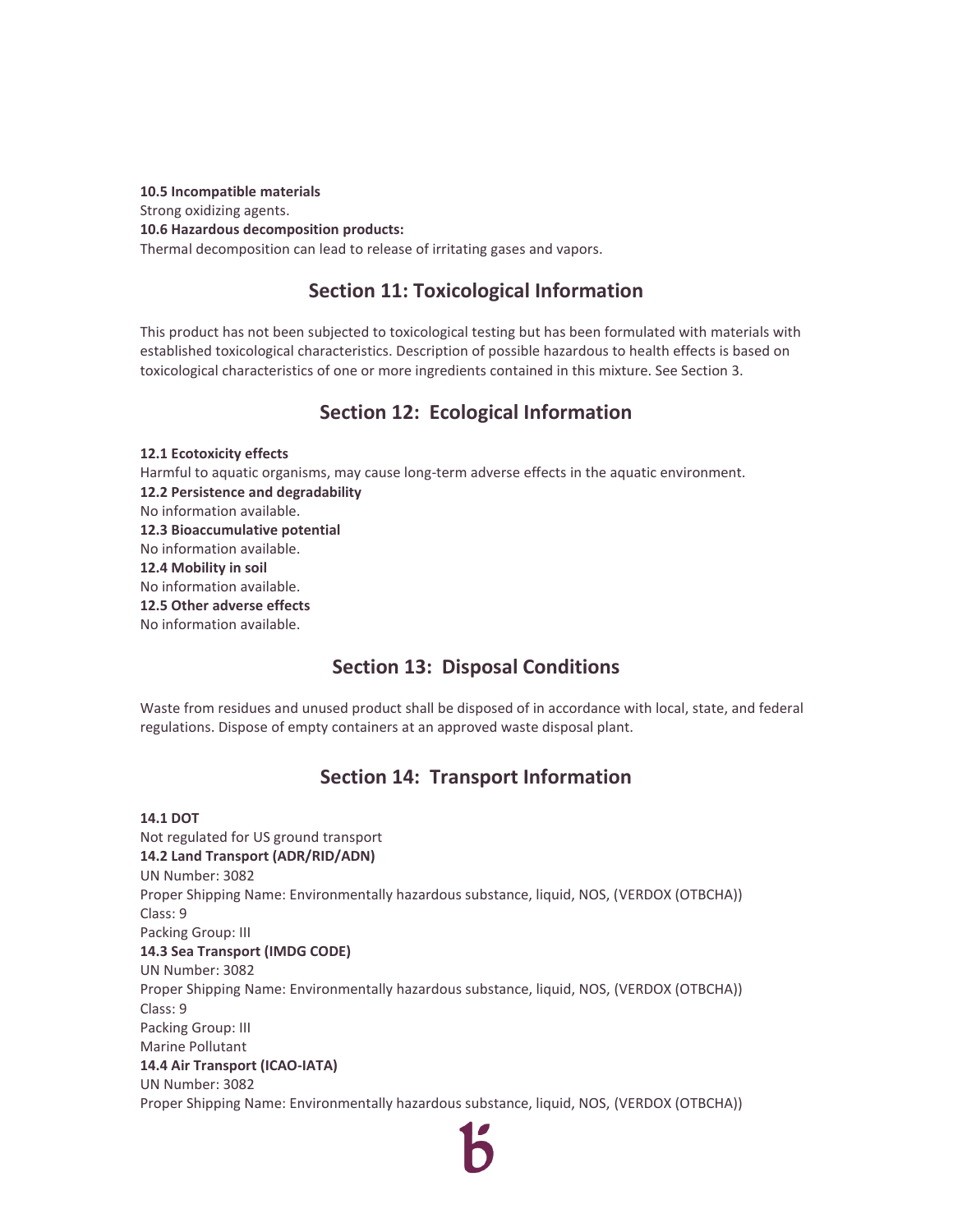**10.5 Incompatible materials**  Strong oxidizing agents. **10.6 Hazardous decomposition products:** Thermal decomposition can lead to release of irritating gases and vapors.

### **Section 11: Toxicological Information**

This product has not been subjected to toxicological testing but has been formulated with materials with established toxicological characteristics. Description of possible hazardous to health effects is based on toxicological characteristics of one or more ingredients contained in this mixture. See Section 3.

# **Section 12: Ecological Information**

**12.1 Ecotoxicity effects**  Harmful to aquatic organisms, may cause long-term adverse effects in the aquatic environment. **12.2 Persistence and degradability** No information available. **12.3 Bioaccumulative potential** No information available. **12.4 Mobility in soil** No information available. **12.5 Other adverse effects** No information available.

# **Section 13: Disposal Conditions**

Waste from residues and unused product shall be disposed of in accordance with local, state, and federal regulations. Dispose of empty containers at an approved waste disposal plant.

# **Section 14: Transport Information**

**14.1 DOT**  Not regulated for US ground transport **14.2 Land Transport (ADR/RID/ADN)** UN Number: 3082 Proper Shipping Name: Environmentally hazardous substance, liquid, NOS, (VERDOX (OTBCHA)) Class: 9 Packing Group: III **14.3 Sea Transport (IMDG CODE)** UN Number: 3082 Proper Shipping Name: Environmentally hazardous substance, liquid, NOS, (VERDOX (OTBCHA)) Class: 9 Packing Group: III Marine Pollutant **14.4 Air Transport (ICAO-IATA)** UN Number: 3082 Proper Shipping Name: Environmentally hazardous substance, liquid, NOS, (VERDOX (OTBCHA))